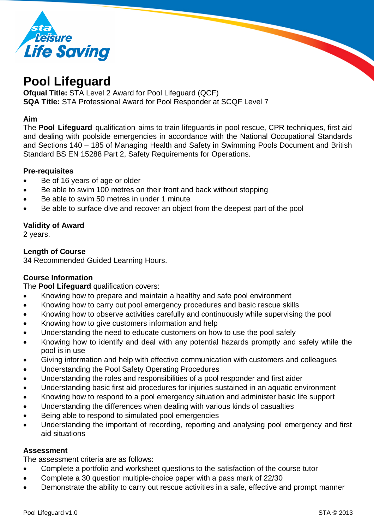

# **Pool Lifeguard**

**Ofqual Title:** STA Level 2 Award for Pool Lifeguard (QCF) **SQA Title:** STA Professional Award for Pool Responder at SCQF Level 7

### **Aim**

The **Pool Lifeguard** qualification aims to train lifeguards in pool rescue, CPR techniques, first aid and dealing with poolside emergencies in accordance with the National Occupational Standards and Sections 140 – 185 of Managing Health and Safety in Swimming Pools Document and British Standard BS EN 15288 Part 2, Safety Requirements for Operations.

### **Pre-requisites**

- Be of 16 years of age or older
- Be able to swim 100 metres on their front and back without stopping
- Be able to swim 50 metres in under 1 minute
- Be able to surface dive and recover an object from the deepest part of the pool

### **Validity of Award**

2 years.

### **Length of Course**

34 Recommended Guided Learning Hours.

# **Course Information**

The **Pool Lifeguard** qualification covers:

- Knowing how to prepare and maintain a healthy and safe pool environment
- Knowing how to carry out pool emergency procedures and basic rescue skills
- Knowing how to observe activities carefully and continuously while supervising the pool
- Knowing how to give customers information and help
- Understanding the need to educate customers on how to use the pool safely
- Knowing how to identify and deal with any potential hazards promptly and safely while the pool is in use
- Giving information and help with effective communication with customers and colleagues
- Understanding the Pool Safety Operating Procedures
- Understanding the roles and responsibilities of a pool responder and first aider
- Understanding basic first aid procedures for injuries sustained in an aquatic environment
- Knowing how to respond to a pool emergency situation and administer basic life support
- Understanding the differences when dealing with various kinds of casualties
- Being able to respond to simulated pool emergencies
- Understanding the important of recording, reporting and analysing pool emergency and first aid situations

#### **Assessment**

The assessment criteria are as follows:

- Complete a portfolio and worksheet questions to the satisfaction of the course tutor
- Complete a 30 question multiple-choice paper with a pass mark of 22/30
- Demonstrate the ability to carry out rescue activities in a safe, effective and prompt manner